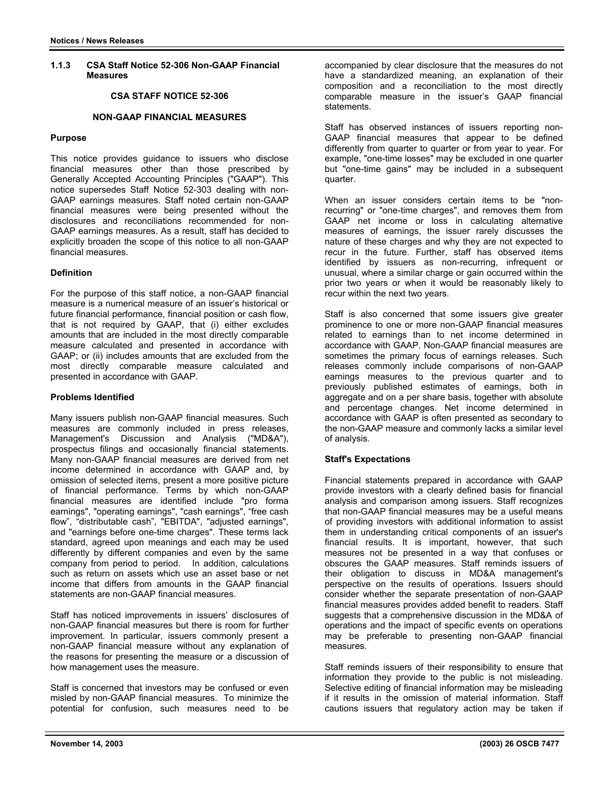### **1.1.3 CSA Staff Notice 52-306 Non-GAAP Financial Measures**

# **CSA STAFF NOTICE 52-306**

# **NON-GAAP FINANCIAL MEASURES**

#### **Purpose**

This notice provides guidance to issuers who disclose financial measures other than those prescribed by Generally Accepted Accounting Principles ("GAAP"). This notice supersedes Staff Notice 52-303 dealing with non-GAAP earnings measures. Staff noted certain non-GAAP financial measures were being presented without the disclosures and reconciliations recommended for non-GAAP earnings measures. As a result, staff has decided to explicitly broaden the scope of this notice to all non-GAAP financial measures.

### **Definition**

For the purpose of this staff notice, a non-GAAP financial measure is a numerical measure of an issuer's historical or future financial performance, financial position or cash flow, that is not required by GAAP, that (i) either excludes amounts that are included in the most directly comparable measure calculated and presented in accordance with GAAP; or (ii) includes amounts that are excluded from the most directly comparable measure calculated and presented in accordance with GAAP.

## **Problems Identified**

Many issuers publish non-GAAP financial measures. Such measures are commonly included in press releases, Management's Discussion and Analysis ("MD&A"), prospectus filings and occasionally financial statements. Many non-GAAP financial measures are derived from net income determined in accordance with GAAP and, by omission of selected items, present a more positive picture of financial performance. Terms by which non-GAAP financial measures are identified include "pro forma earnings", "operating earnings", "cash earnings", "free cash flow", "distributable cash", "EBITDA", "adjusted earnings", and "earnings before one-time charges". These terms lack standard, agreed upon meanings and each may be used differently by different companies and even by the same company from period to period. In addition, calculations such as return on assets which use an asset base or net income that differs from amounts in the GAAP financial statements are non-GAAP financial measures.

Staff has noticed improvements in issuers' disclosures of non-GAAP financial measures but there is room for further improvement. In particular, issuers commonly present a non-GAAP financial measure without any explanation of the reasons for presenting the measure or a discussion of how management uses the measure.

Staff is concerned that investors may be confused or even misled by non-GAAP financial measures. To minimize the potential for confusion, such measures need to be accompanied by clear disclosure that the measures do not have a standardized meaning, an explanation of their composition and a reconciliation to the most directly comparable measure in the issuer's GAAP financial statements.

Staff has observed instances of issuers reporting non-GAAP financial measures that appear to be defined differently from quarter to quarter or from year to year. For example, "one-time losses" may be excluded in one quarter but "one-time gains" may be included in a subsequent quarter.

When an issuer considers certain items to be "nonrecurring" or "one-time charges", and removes them from GAAP net income or loss in calculating alternative measures of earnings, the issuer rarely discusses the nature of these charges and why they are not expected to recur in the future. Further, staff has observed items identified by issuers as non-recurring, infrequent or unusual, where a similar charge or gain occurred within the prior two years or when it would be reasonably likely to recur within the next two years.

Staff is also concerned that some issuers give greater prominence to one or more non-GAAP financial measures related to earnings than to net income determined in accordance with GAAP. Non-GAAP financial measures are sometimes the primary focus of earnings releases. Such releases commonly include comparisons of non-GAAP earnings measures to the previous quarter and to previously published estimates of earnings, both in aggregate and on a per share basis, together with absolute and percentage changes. Net income determined in accordance with GAAP is often presented as secondary to the non-GAAP measure and commonly lacks a similar level of analysis.

### **Staff's Expectations**

Financial statements prepared in accordance with GAAP provide investors with a clearly defined basis for financial analysis and comparison among issuers. Staff recognizes that non-GAAP financial measures may be a useful means of providing investors with additional information to assist them in understanding critical components of an issuer's financial results. It is important, however, that such measures not be presented in a way that confuses or obscures the GAAP measures. Staff reminds issuers of their obligation to discuss in MD&A management's perspective on the results of operations. Issuers should consider whether the separate presentation of non-GAAP financial measures provides added benefit to readers. Staff suggests that a comprehensive discussion in the MD&A of operations and the impact of specific events on operations may be preferable to presenting non-GAAP financial measures.

Staff reminds issuers of their responsibility to ensure that information they provide to the public is not misleading. Selective editing of financial information may be misleading if it results in the omission of material information. Staff cautions issuers that regulatory action may be taken if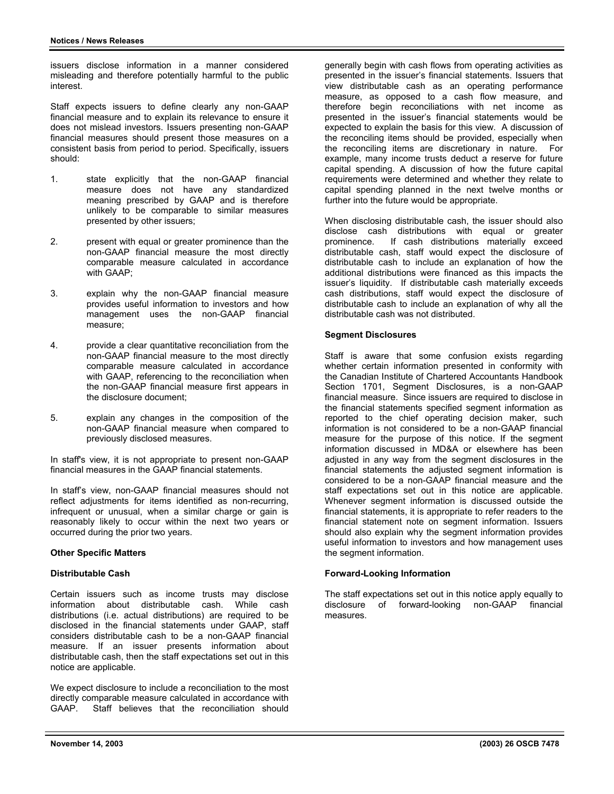issuers disclose information in a manner considered misleading and therefore potentially harmful to the public interest.

Staff expects issuers to define clearly any non-GAAP financial measure and to explain its relevance to ensure it does not mislead investors. Issuers presenting non-GAAP financial measures should present those measures on a consistent basis from period to period. Specifically, issuers should:

- 1. state explicitly that the non-GAAP financial measure does not have any standardized meaning prescribed by GAAP and is therefore unlikely to be comparable to similar measures presented by other issuers;
- 2. present with equal or greater prominence than the non-GAAP financial measure the most directly comparable measure calculated in accordance with GAAP;
- 3. explain why the non-GAAP financial measure provides useful information to investors and how management uses the non-GAAP financial measure;
- 4. provide a clear quantitative reconciliation from the non-GAAP financial measure to the most directly comparable measure calculated in accordance with GAAP, referencing to the reconciliation when the non-GAAP financial measure first appears in the disclosure document;
- 5. explain any changes in the composition of the non-GAAP financial measure when compared to previously disclosed measures.

In staff's view, it is not appropriate to present non-GAAP financial measures in the GAAP financial statements.

In staff's view, non-GAAP financial measures should not reflect adjustments for items identified as non-recurring, infrequent or unusual, when a similar charge or gain is reasonably likely to occur within the next two years or occurred during the prior two years.

### **Other Specific Matters**

#### **Distributable Cash**

Certain issuers such as income trusts may disclose information about distributable cash. While cash distributions (i.e. actual distributions) are required to be disclosed in the financial statements under GAAP, staff considers distributable cash to be a non-GAAP financial measure. If an issuer presents information about distributable cash, then the staff expectations set out in this notice are applicable.

We expect disclosure to include a reconciliation to the most directly comparable measure calculated in accordance with GAAP. Staff believes that the reconciliation should generally begin with cash flows from operating activities as presented in the issuer's financial statements. Issuers that view distributable cash as an operating performance measure, as opposed to a cash flow measure, and therefore begin reconciliations with net income as presented in the issuer's financial statements would be expected to explain the basis for this view. A discussion of the reconciling items should be provided, especially when the reconciling items are discretionary in nature. For example, many income trusts deduct a reserve for future capital spending. A discussion of how the future capital requirements were determined and whether they relate to capital spending planned in the next twelve months or further into the future would be appropriate.

When disclosing distributable cash, the issuer should also disclose cash distributions with equal or greater<br>prominence. If cash distributions materially exceed If cash distributions materially exceed distributable cash, staff would expect the disclosure of distributable cash to include an explanation of how the additional distributions were financed as this impacts the issuer's liquidity. If distributable cash materially exceeds cash distributions, staff would expect the disclosure of distributable cash to include an explanation of why all the distributable cash was not distributed.

#### **Segment Disclosures**

Staff is aware that some confusion exists regarding whether certain information presented in conformity with the Canadian Institute of Chartered Accountants Handbook Section 1701, Segment Disclosures, is a non-GAAP financial measure. Since issuers are required to disclose in the financial statements specified segment information as reported to the chief operating decision maker, such information is not considered to be a non-GAAP financial measure for the purpose of this notice. If the segment information discussed in MD&A or elsewhere has been adjusted in any way from the segment disclosures in the financial statements the adjusted segment information is considered to be a non-GAAP financial measure and the staff expectations set out in this notice are applicable. Whenever segment information is discussed outside the financial statements, it is appropriate to refer readers to the financial statement note on segment information. Issuers should also explain why the segment information provides useful information to investors and how management uses the segment information.

#### **Forward-Looking Information**

The staff expectations set out in this notice apply equally to disclosure of forward-looking non-GAAP financial measures.